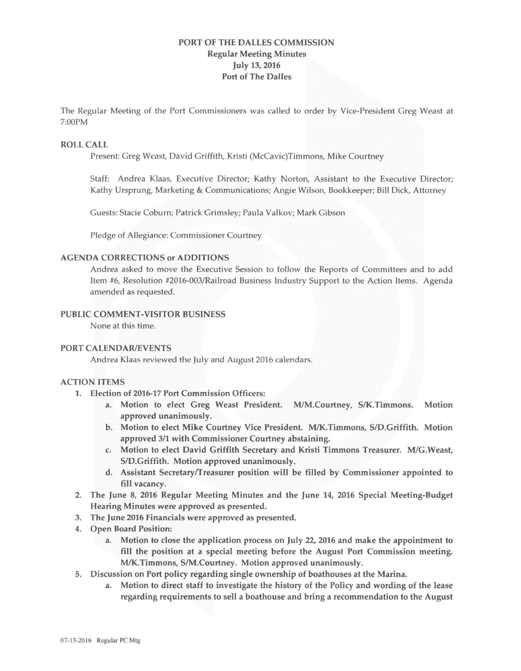# **PORT OF THE DALLES COMMISSION Regular Meeting Minutes July 13, 2016 Port of The Dalles**

The Regular Meeting of the Port Commissioners was called to order by Vice-President Greg Weast at 7:00PM

#### **ROLL CALL**

Present: Greg Weast, David Griffith, Kristi (McCavic)Timmons, Mike Courtney

Staff: Andrea Klaas, Executive Director; Kathy Norton, Assistant to the Executive Director; Kathy Ursprung, Marketing & Communications; Angie Wilson, Bookkeeper; Bill Dick, Attorney

Guests: Stacie Coburn; Patrick Grimsley; Paula Valkov; Mark Gibson

Pledge of Allegiance: Commissioner Courtney

#### **AGENDA CORRECTIONS or ADDITIONS**

Andrea asked to move the Executive Session to follow the Reports of Committees and to add Item #6, Resolution #2016-003/Railroad Business Industry Support to the Action Items. Agenda amended as requested.

### **PUBLIC COMMENT-VISITOR BUSINESS**

None at this time.

#### **PORT CALENDAR/EVENTS**

Andrea Klaas reviewed the July and August 2016 calendars.

#### **ACTION ITEMS**

- **1.** Election of 2016-17 Port Commission Officers:
	- a. Motion to elect Greg Weast President. M/M.Courtney, S/K.Timmons. Motion approved unanimously.
	- b. Motion to elect **Mike** Courtney Vice President. M/K.Timmons, SID.Griffith. Motion approved 3/1 with Commissioner Courtney abstaining.
	- c. Motion to elect David Griffith Secretary and Kristi Timmons Treasurer. M/G.Weast, SID.Griffith. Motion approved unanimously.
	- d. Assistant Secretary/Treasurer position will be filled by Commissioner appointed to fill vacancy.
- 2. The June 8, 2016 Regular Meeting Minutes and the June 14, 2016 Special Meeting-Budget Hearing Minutes were approved as presented.
- 3. The June 2016 Financials were approved as presented.
- 4. Open Board Position:
	- a. Motion to close the application process on July 22, 2016 and make the appointment to fill the position at a special meeting before the August Port Commission meeting. M/K.Timmons, SIM.Courtney. Motion approved unanimously.
- 5. Discussion on Port policy regarding single ownership of boathouses at the Marina.
	- a. Motion to direct staff to investigate the history of the Policy and wording of the lease regarding requirements to sell a boathouse and bring a recommendation to the August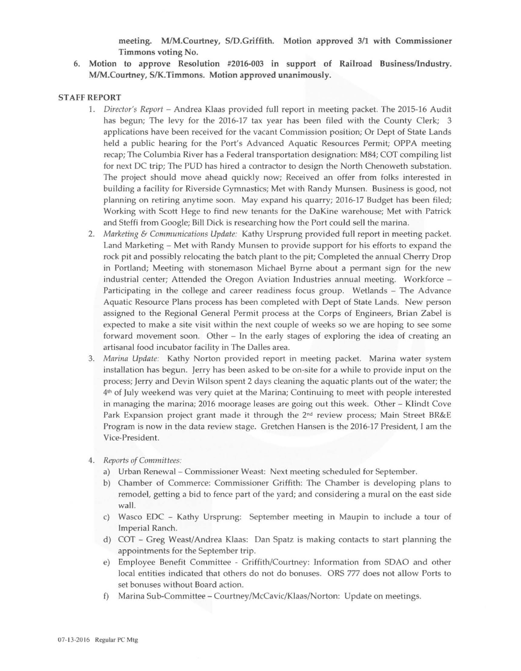**meeting. M/M.Courtney, SID.Griffith. Motion approved 3/1 with Commissioner Timmons voting No.** 

**6. Motion to approve Resolution #2016-003 in support of Railroad Business/Industry. M/M.Courtney, S/K.Timmons. Motion approved unanimously.** 

#### **STAFF REPORT**

- 1. *Director's Report*  Andrea Klaas provided full report in meeting packet. The 2015-16 Audit has begun; The levy for the 2016-17 tax year has been filed with the County Clerk; 3 applications have been received for the vacant Commission position; Or Dept of State Lands held a public hearing for the Port's Advanced Aquatic Resources Permit; OPPA meeting recap; The Columbia River has a Federal transportation designation: M84; COT compiling list for next DC trip; The PUD has hired a contractor to design the North Chenoweth substation. The project should move ahead quickly now; Received an offer from folks interested in building a facility for Riverside Gymnastics; Met with Randy Munsen. Business is good, not planning on retiring anytime soon. May expand his quarry; 2016-17 Budget has been filed; Working with Scott Hege to find new tenants for the DaKine warehouse; Met with Patrick and Steffi from Google; Bill Dick is researching how the Port could sell the marina.
- 2. *Marketing* & *Communications Update:* Kathy Ursprung provided full report in meeting packet. Land Marketing - Met with Randy Munsen to provide support for his efforts to expand the rock pit and possibly relocating the batch plant to the pit; Completed the annual Cherry Drop in Portland; Meeting with stonemason Michael Byrne about a permant sign for the new industrial center; Attended the Oregon Aviation Industries annual meeting. Workforce - Participating in the college and career readiness focus group. Wetlands - The Advance Aquatic Resource Plans process has been completed with Dept of State Lands. New person assigned to the Regional General Permit process at the Corps of Engineers, Brian Zabel is expected to make a site visit within the next couple of weeks so we are hoping to see some forward movement soon. Other  $-$  In the early stages of exploring the idea of creating an artisanal food incubator facility in The Dalles area.
- 3. *Marina Update:* Kathy Norton provided report in meeting packet. Marina water system installation has begun. Jerry has been asked to be on-site for a while to provide input on the process; Jerry and Devin Wilson spent 2 days cleaning the aquatic plants out of the water; the  $4<sup>th</sup>$  of July weekend was very quiet at the Marina; Continuing to meet with people interested in managing the marina; 2016 moorage leases are going out this week. Other - Klindt Cove Park Expansion project grant made it through the  $2<sup>nd</sup>$  review process; Main Street BR&E Program is now in the data review stage. Gretchen Hansen is the 2016-17 President, I am the Vice-President.
- 4. *Reports of Committees:* 
	- a) Urban Renewal Commissioner Weast: Next meeting scheduled for September.
	- b) Chamber of Commerce: Commissioner Griffith: The Chamber is developing plans to remodel, getting a bid to fence part of the yard; and considering a mural on the east side wall.
	- c) Wasco EDC Kathy Ursprung: September meeting in Maupin to include a tour of Imperial Ranch.
	- d) COT Greg Weast/Andrea Klaas: Dan Spatz is making contacts to start planning the appointments for the September trip.
	- e) Employee Benefit Committee Griffith/Courtney: Information from SDAO and other local entities indicated that others do not do bonuses. ORS 777 does not allow Ports to set bonuses without Board action.
	- f) Marina Sub-Committee Courtney/McCavic/Klaas/Norton: Update on meetings.